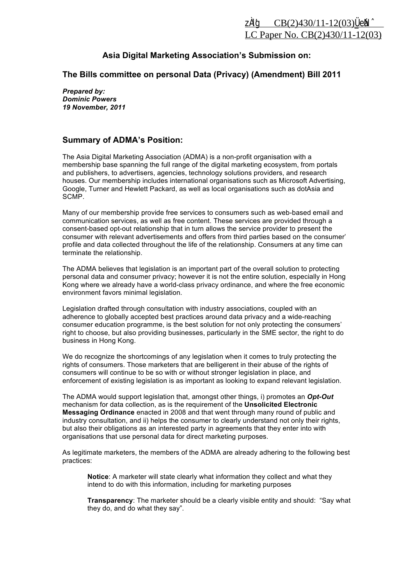## **Asia Digital Marketing Association's Submission on:**

**The Bills committee on personal Data (Privacy) (Amendment) Bill 2011** 

*Prepared by: Dominic Powers 19 November, 2011* 

## **Summary of ADMA's Position:**

The Asia Digital Marketing Association (ADMA) is a non-profit organisation with a membership base spanning the full range of the digital marketing ecosystem, from portals and publishers, to advertisers, agencies, technology solutions providers, and research houses. Our membership includes international organisations such as Microsoft Advertising, Google, Turner and Hewlett Packard, as well as local organisations such as dotAsia and SCMP.

Many of our membership provide free services to consumers such as web-based email and communication services, as well as free content. These services are provided through a consent-based opt-out relationship that in turn allows the service provider to present the consumer with relevant advertisements and offers from third parties based on the consumer' profile and data collected throughout the life of the relationship. Consumers at any time can terminate the relationship.

The ADMA believes that legislation is an important part of the overall solution to protecting personal data and consumer privacy; however it is not the entire solution, especially in Hong Kong where we already have a world-class privacy ordinance, and where the free economic environment favors minimal legislation.

Legislation drafted through consultation with industry associations, coupled with an adherence to globally accepted best practices around data privacy and a wide-reaching consumer education programme, is the best solution for not only protecting the consumers' right to choose, but also providing businesses, particularly in the SME sector, the right to do business in Hong Kong.

We do recognize the shortcomings of any legislation when it comes to truly protecting the rights of consumers. Those marketers that are belligerent in their abuse of the rights of consumers will continue to be so with or without stronger legislation in place, and enforcement of existing legislation is as important as looking to expand relevant legislation.

The ADMA would support legislation that, amongst other things, i) promotes an *Opt-Out* mechanism for data collection, as is the requirement of the **Unsolicited Electronic Messaging Ordinance** enacted in 2008 and that went through many round of public and industry consultation, and ii) helps the consumer to clearly understand not only their rights, but also their obligations as an interested party in agreements that they enter into with organisations that use personal data for direct marketing purposes.

As legitimate marketers, the members of the ADMA are already adhering to the following best practices:

**Notice**: A marketer will state clearly what information they collect and what they intend to do with this information, including for marketing purposes

**Transparency**: The marketer should be a clearly visible entity and should: "Say what they do, and do what they say".